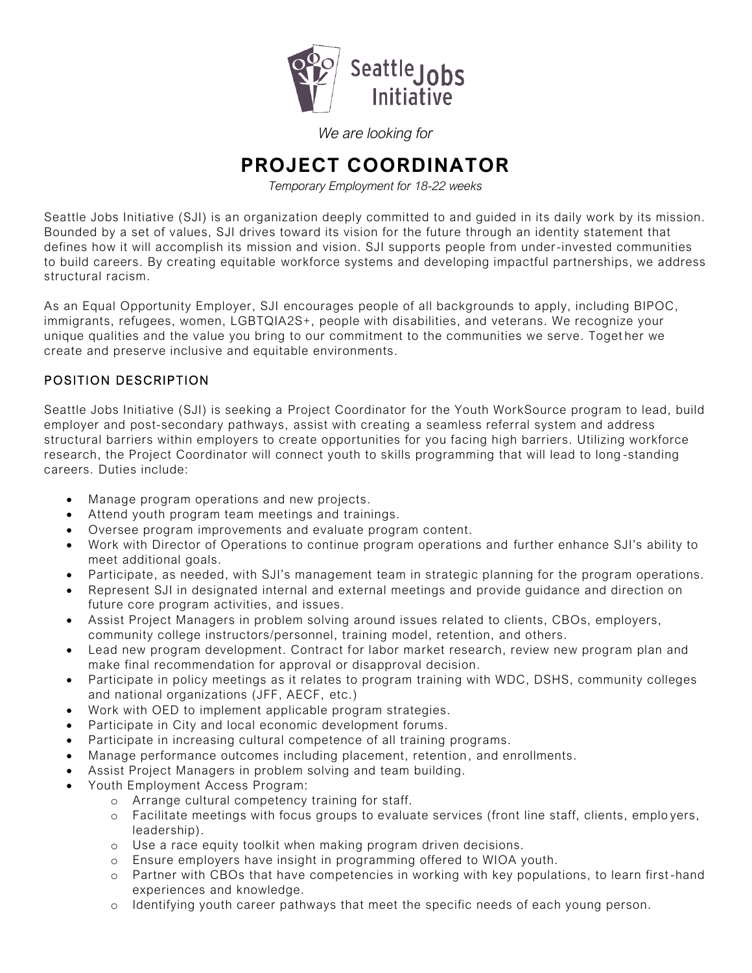

*We are looking for*

# **PROJECT COORDINATOR**

*Temporary Employment for 18-22 weeks*

Seattle Jobs Initiative (SJI) is an organization deeply committed to and guided in its daily work by its mission. Bounded by a set of values, SJI drives toward its vision for the future through an identity statement that defines how it will accomplish its mission and vision. SJI supports people from under-invested communities to build careers. By creating equitable workforce systems and developing impactful partnerships, we address structural racism.

As an Equal Opportunity Employer, SJI encourages people of all backgrounds to apply, including BIPOC, immigrants, refugees, women, LGBTQIA2S+, people with disabilities, and veterans. We recognize your unique qualities and the value you bring to our commitment to the communities we serve. Toget her we create and preserve inclusive and equitable environments.

## POSITION DESCRIPTION

Seattle Jobs Initiative (SJI) is seeking a Project Coordinator for the Youth WorkSource program to lead, build employer and post-secondary pathways, assist with creating a seamless referral system and address structural barriers within employers to create opportunities for you facing high barriers. Utilizing workforce research, the Project Coordinator will connect youth to skills programming that will lead to long -standing careers. Duties include:

- Manage program operations and new projects.
- Attend youth program team meetings and trainings.
- Oversee program improvements and evaluate program content.
- Work with Director of Operations to continue program operations and further enhance SJI's ability to meet additional goals.
- Participate, as needed, with SJI's management team in strategic planning for the program operations.
- Represent SJI in designated internal and external meetings and provide guidance and direction on future core program activities, and issues.
- Assist Project Managers in problem solving around issues related to clients, CBOs, employers, community college instructors/personnel, training model, retention, and others.
- Lead new program development. Contract for labor market research, review new program plan and make final recommendation for approval or disapproval decision.
- Participate in policy meetings as it relates to program training with WDC, DSHS, community colleges and national organizations (JFF, AECF, etc.)
- Work with OED to implement applicable program strategies.
- Participate in City and local economic development forums.
- Participate in increasing cultural competence of all training programs.
- Manage performance outcomes including placement, retention , and enrollments.
- Assist Project Managers in problem solving and team building.
- Youth Employment Access Program:
	- o Arrange cultural competency training for staff.
	- o Facilitate meetings with focus groups to evaluate services (front line staff, clients, emplo yers, leadership).
	- o Use a race equity toolkit when making program driven decisions.
	- o Ensure employers have insight in programming offered to WIOA youth.
	- o Partner with CBOs that have competencies in working with key populations, to learn first -hand experiences and knowledge.
	- o Identifying youth career pathways that meet the specific needs of each young person.